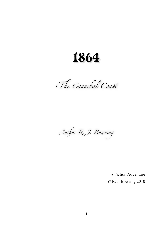1864

The Cannibal Coast

*Au*#*or R. J. Bow*\$*ng*

A Fiction Adventure © R. J. Bowring 2010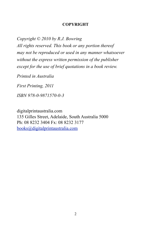#### **COPYRIGHT**

*Copyright © 2010 by R.J. Bowring*

*All rights reserved. This book or any portion thereof may not be reproduced or used in any manner whatsoever without the express written permission of the publisher except for the use of brief quotations in a book review.*

*Printed in Australia*

*First Printing, 2011*

*ISBN 978-0-9871570-0-3*

digitalprintaustralia.com 135 Gilles Street, Adelaide, South Australia 5000 Ph: 08 8232 3404 Fx: 08 8232 3177 [books@digitalprintaustralia.com](mailto:books@digitalprintaustralia.com)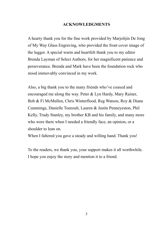### **ACKNOWLEDGMENTS**

A hearty thank you for the fine work provided by Marjolijin De Jong of My Way Glass Engraving, who provided the front cover image of the lugger. A special warm and heartfelt thank you to my editor Brenda Layman of Select Authors, for her magnificent patience and perseverance. Brenda and Mark have been the foundation rock who stood immovably convinced in my work.

Also, a big thank you to the many friends who've coaxed and encouraged me along the way. Peter & Lyn Hardy, Mary Rainer, Bob & Fi McMullen, Chris Winterflood, Reg Watson, Roy & Diane Cummings, Danielle Touroult, Lauren & Justin Penneyeston, Phil Kelly, Trudy Stanley, my brother KB and his family, and many more who were there when I needed a friendly face, an opinion, or a shoulder to lean on.

When I faltered you gave a steady and willing hand. Thank you!

To the readers, we thank you, your support makes it all worthwhile. I hope you enjoy the story and mention it to a friend.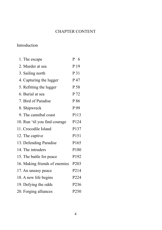## CHAPTER CONTENT

# Introduction

| 1. The escape                 | P 6               |
|-------------------------------|-------------------|
| 2. Murder at sea              | P <sub>19</sub>   |
| 3. Sailing north              | P 31              |
| 4. Capturing the lugger       | P 47              |
| 5. Refitting the lugger       | P 58              |
| 6. Burial at sea              | P 72              |
| 7. Bird of Paradise           | P 86              |
| 8. Shipwreck                  | P 99              |
| 9. The cannibal coast         | P113              |
| 10. Run 'til you find courage | P124              |
| 11. Crocodile Island          | P137              |
| 12. The captive               | P151              |
| 13. Defending Paradise        | P165              |
| 14. The intruders             | P180              |
| 15. The battle for peace      | P192              |
| 16. Making friends of enemies | P <sub>203</sub>  |
| 17. An uneasy peace           | P <sub>2</sub> 14 |
| 18. A new life begins         | P224              |
| 19. Defying the odds          | P236              |
| 20. Forging alliances         | P250              |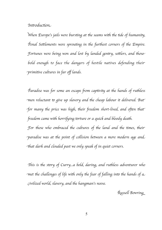### *Introduction*.

*When Europe's jails were bursting at the seams with the tide of humanity, Penal Settlements were sprouting in the furthest corners of the Empire.* F*ortunes were being won and lost by landed gen*"*y, se*\**lers, and* '*os*e *bold enough to face the dangers of hostile natives defending thei*r p*rimi*#*ve cultures in far o*ff *lands.*

P*aradise was for some an escape* 1*om cap*#*vi*( *at* '*e hands of ru*'*les*s m*en reluctant* 4 *give up slavery and* '*e cheap labour it delivered. Bu*t *for many the price was high, their freedom short-lived, and often that'* freedom came with horrifying torture or a quick and bloody death. *For those who embraced the cultures of the land and the times, their* p*aradise was at* '*e point of co*9*ision between a more modern age an*d

;*at dark and clouded past we only speak of in quiet corners.*

<*is is* '*e s*4*ry of Curry...a bold, daring, and ru*'*less adventurer who*  m*et* '*e cha*9*enges of life wi*' *only* '*e fear of fa*9*ing in*4 '*e hands of* a c*ivilized world, slavery, and* '*e hangman*'*s noose.*

R*usse*9 *Bowrin*g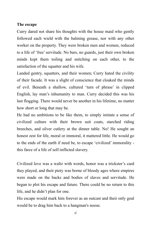### **The escape**

Curry dared not share his thoughts with the house maid who gently followed each wield with the balming grease, nor with any other worker on the property. They were broken men and women, reduced to a life of 'free'servitude. No bars, no guards, just their own broken minds kept them toiling and snitching on each other, to the satisfaction of the squatter and his wife.

Landed gentry, squatters, and their women; Curry hated the civility of their facade. It was a slight of conscience that cloaked the minds of evil. Beneath a shallow, cultured 'turn of phrase' in clipped English, lay man's inhumanity to man. Curry decided this was his last flogging. There would never be another in his lifetime, no matter how short or long that may be.

He had no ambitions to be like them, to simply imitate a sense of civilized culture with their brown suit coats, starched riding breeches, and silver cutlery at the dinner table. No! He sought an honest zest for life, moral or immoral, it mattered little. He would go to the ends of the earth if need be, to escape 'civilized' immorality this farce of a life of self-inflicted slavery.

Civilized love was a waltz with words, honor was a trickster's card they played, and their piety was borne of bloody ages where empires were made on the backs and bodies of slaves and servitude. He began to plot his escape and future. There could be no return to this life, and he didn't plan for one.

His escape would mark him forever as an outcast and their only goal would be to drag him back to a hangman's noose.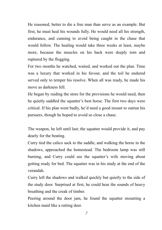He reasoned, better to die a free man than serve as an example. But first, he must heal his wounds fully. He would need all his strength, endurance, and cunning to avoid being caught in the chase that would follow. The healing would take three weeks at least, maybe more, because the muscles on his back were deeply torn and ruptured by the flogging.

For two months he watched, waited, and worked out the plan. Time was a luxury that worked in his favour, and the toil he endured served only to temper his resolve. When all was ready, he made his move as darkness fell.

He began by raiding the store for the provisions he would need, then he quietly saddled the squatter's best horse. The first two days were critical. If his plan went badly, he'd need a good mount to outrun his pursuers, though he hoped to avoid so close a chase.

The weapon, he left until last; the squatter would provide it, and pay dearly for the beating.

Curry tied the calico sack to the saddle, and walking the horse in the shadows, approached the homestead. The bedroom lamp was still burning, and Curry could see the squatter's wife moving about getting ready for bed. The squatter was in his study at the end of the verandah.

Curry left the shadows and walked quickly but quietly to the side of the study door. Surprised at first, he could hear the sounds of heavy breathing and the creak of timber.

Peering around the door jam, he found the squatter mounting a kitchen maid like a rutting deer.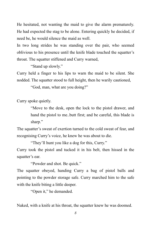He hesitated, not wanting the maid to give the alarm prematurely. He had expected the stag to be alone. Entering quickly he decided, if need be, he would silence the maid as well.

In two long strides he was standing over the pair, who seemed oblivious to his presence until the knife blade touched the squatter's throat. The squatter stiffened and Curry warned,

"Stand up slowly."

Curry held a finger to his lips to warn the maid to be silent. She nodded. The squatter stood to full height, then he warily cautioned,

"God, man, what are you doing?"

Curry spoke quietly.

"Move to the desk, open the lock to the pistol drawer, and hand the pistol to me..butt first; and be careful, this blade is sharp."

The squatter's sweat of exertion turned to the cold sweat of fear, and recognising Curry's voice, he knew he was about to die.

"They'll hunt you like a dog for this, Curry."

Curry took the pistol and tucked it in his belt, then hissed in the squatter's ear.

"Powder and shot. Be quick."

The squatter obeyed, handing Curry a bag of pistol balls and pointing to the powder storage safe. Curry marched him to the safe with the knife biting a little deeper.

"Open it," he demanded.

Naked, with a knife at his throat, the squatter knew he was doomed.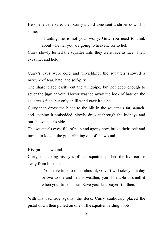He opened the safe, then Curry's cold tone sent a shiver down his spine.

> "Hunting me is not your worry, Guv. You need to think about whether you are going to heaven…or to hell."

Curry slowly turned the squatter until they were face to face. Their eyes met and held.

Curry's eyes were cold and unvielding; the squatters showed a mixture of fear, hate, and self-pity.

The sharp blade easily cut the windpipe, but not deep enough to sever the jugular vein. Horror washed away the look of hate on the squatter's face, but only an ill wind gave it voice.

Curry then drove the blade to the hilt in the squatter's fat paunch, and keeping it embedded, slowly drew it through the kidneys and out the squatter's side.

The squatter's eyes, full of pain and agony now, broke their lock and turned to look at the gut dribbling out of the wound.

His gut…his wound.

Curry, not taking his eyes off the squatter, pushed the live corpse away from himself.

> "You have time to think about it, Guv. It will take you a day or two to die and in this weather, you'll be able to smell it when your time is near. Save your last prayer 'till then."

With his backside against the desk, Curry cautiously placed the pistol down then pulled on one of the squatter's riding boots.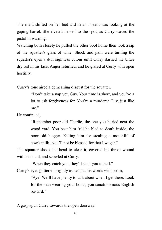The maid shifted on her feet and in an instant was looking at the gaping barrel. She riveted herself to the spot, as Curry waved the pistol in warning.

Watching both closely he pulled the other boot home then took a sip of the squatter's glass of wine. Shock and pain were turning the squatter's eyes a dull sightless colour until Curry dashed the bitter dry red in his face. Anger returned, and he glared at Curry with open hostility.

Curry's tone aired a demeaning disgust for the squatter.

"Don't take a nap yet, Guv. Your time is short, and you've a lot to ask forgiveness for. You're a murderer Guv, just like me."

He continued,

"Remember poor old Charlie, the one you buried near the wood yard. You beat him 'till he bled to death inside, the poor old bugger. Killing him for stealing a mouthful of cow's milk...you'll not be blessed for that I wager."

The squatter shook his head to clear it, covered his throat wound with his hand, and scowled at Curry.

"When they catch you, they'll send you to hell."

Curry's eyes glittered brightly as he spat his words with scorn,

"Aye! We'll have plenty to talk about when I get there. Look for the man wearing your boots, you sanctimonious English hastard<sup>"</sup>

A gasp spun Curry towards the open doorway.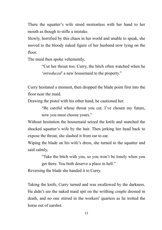There the squatter's wife stood motionless with her hand to her mouth as though to stifle a mistake.

Slowly, horrified by this chaos in her world and unable to speak, she moved to the bloody naked figure of her husband now lying on the floor.

The maid then spoke vehemently,

"Cut her throat too, Curry, the bitch often watched when he '*introduced*' a new housemaid to the property."

Curry hesitated a moment, then dropped the blade point first into the floor near the maid.

Drawing the pistol with his other hand, he cautioned her.

"Be careful whose throat you cut. I've chosen my future, now you must choose yours."

Without hesitation the housemaid seized the knife and snatched the shocked squatter's wife by the hair. Then jerking her head back to expose the throat, she slashed it from ear to ear.

Wiping the blade on his wife's dress, she turned to the squatter and said calmly,

> "Take the bitch with you, so you won't be lonely when you get there. You both deserve a place in hell."

Reversing the blade she handed it to Curry.

Taking the knife, Curry turned and was swallowed by the darkness. He didn't see the naked maid spit on the writhing couple dressed in death, and no one stirred in the workers' quarters as he trotted the horse out of earshot.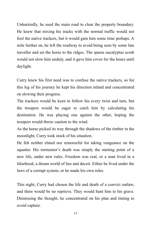Unhurriedly, he used the main road to clear the property boundary. He knew that mixing his tracks with the normal traffic would not fool the native trackers, but it would gain him some time perhaps. A mile further on, he left the roadway to avoid being seen by some late traveller and set the horse to the ridges. The sparse eucalyptus scrub would not slow him unduly, and it gave him cover for the hours until daylight.

Curry knew his first need was to confuse the native trackers, so for this leg of his journey he kept his direction inland and concentrated on slowing their progress.

The trackers would be keen to follow his every twist and turn, but the troopers would be eager to catch him by calculating his destination. He was playing one against the other, hoping the troopers would throw caution to the wind.

As the horse picked its way through the shadows of the timber in the moonlight, Curry took stock of his situation.

He felt neither elated nor remorseful for taking vengeance on the squatter. His tormentor's death was simply the starting point of a new life, under new rules. Freedom was real, or a man lived in a falsehood, a dream world of lies and deceit. Either he lived under the laws of a corrupt system, or he made his own rules.

This night, Curry had chosen the life and death of a convict outlaw, and there would be no reprieve. They would hunt him to his grave. Dismissing the thought, he concentrated on his plan and timing to avoid capture.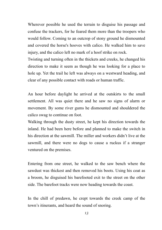Wherever possible he used the terrain to disguise his passage and confuse the trackers, for he feared them more than the troopers who would follow. Coming to an outcrop of stony ground he dismounted and covered the horse's hooves with calico. He walked him to save injury, and the calico left no mark of a hoof strike on rock.

Twisting and turning often in the thickets and creeks, he changed his direction to make it seem as though he was looking for a place to hole up. Yet the trail he left was always on a westward heading, and clear of any possible contact with roads or human traffic.

An hour before daylight he arrived at the outskirts to the small settlement. All was quiet there and he saw no signs of alarm or movement. By some river gums he dismounted and shouldered the calico swag to continue on foot.

Walking through the dusty street, he kept his direction towards the inland. He had been here before and planned to make the switch in his direction at the sawmill. The miller and workers didn't live at the sawmill, and there were no dogs to cause a ruckus if a stranger ventured on the premises.

Entering from one street, he walked to the saw bench where the sawdust was thickest and then removed his boots. Using his coat as a broom, he disguised his barefooted exit to the street on the other side. The barefoot tracks were now heading towards the coast.

In the chill of predawn, he crept towards the creek camp of the town's itinerants, and heard the sound of snoring.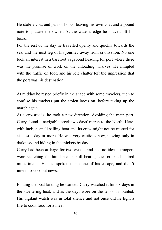He stole a coat and pair of boots, leaving his own coat and a pound note to placate the owner. At the water's edge he shaved off his beard.

For the rest of the day he travelled openly and quickly towards the sea, and the next leg of his journey away from civilisation. No one took an interest in a barefoot vagabond heading for port where there was the promise of work on the unloading wharves. He mingled with the traffic on foot, and his idle chatter left the impression that the port was his destination.

At midday he rested briefly in the shade with some travelers, then to confuse his trackers put the stolen boots on, before taking up the march again.

At a crossroads, he took a new direction. Avoiding the main port, Curry found a navigable creek two days' march to the North. Here, with luck, a small sailing boat and its crew might not be missed for at least a day or more. He was very cautious now, moving only in darkness and hiding in the thickets by day.

Curry had been at large for two weeks, and had no idea if troopers were searching for him here, or still beating the scrub a hundred miles inland. He had spoken to no one of his escape, and didn't intend to seek out news.

Finding the boat landing he wanted, Curry watched it for six days in the sweltering heat, and as the days wore on the tension mounted. His vigilant watch was in total silence and not once did he light a fire to cook food for a meal.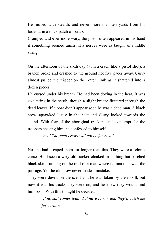He moved with stealth, and never more than ten yards from his lookout in a thick patch of scrub.

Cramped and ever more wary, the pistol often appeared in his hand if something seemed amiss. His nerves were as taught as a fiddle string.

On the afternoon of the sixth day (with a crack like a pistol shot), a branch broke and crashed to the ground not five paces away. Curry almost pulled the trigger on the rotten limb as it shattered into a dozen pieces.

He cursed under his breath. He had been dozing in the heat. It was sweltering in the scrub, though a slight breeze fluttered through the dead leaves. If a boat didn't appear soon he was a dead man. A black crow squawked lazily in the heat and Curry looked towards the sound. With fear of the aboriginal trackers, and contempt for the troopers chasing him, he confessed to himself,

*'Aye! The scarecrows will not be far now.'*

No one had escaped them for longer than this. They were a felon's curse. He'd seen a wiry old tracker cloaked in nothing but parched black skin, running on the trail of a man where no mark showed the passage. Yet the old crow never made a mistake.

They were devils on the scent and he was taken by their skill, but now it was his tracks they were on, and he knew they would find him soon. With this thought he decided,

> *'If no sail comes today I'll have to run and they'll catch me for certain.'*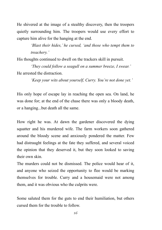He shivered at the image of a stealthy discovery, then the troopers quietly surrounding him. The troopers would use every effort to capture him alive for the hanging at the end.

> *'Blast their hides,' he cursed, 'and those who tempt them to treachery.'*

His thoughts continued to dwell on the trackers skill in pursuit.

*'They could follow a seagull on a summer breeze, I swear.'* He arrested the distraction.

*'Keep your wits about yourself, Curry. You're not done yet.'*

His only hope of escape lay in reaching the open sea. On land, he was done for; at the end of the chase there was only a bloody death, or a hanging...but death all the same.

How right he was. At dawn the gardener discovered the dying squatter and his murdered wife. The farm workers soon gathered around the bloody scene and anxiously pondered the matter. Few had distraught feelings at the fate they suffered, and several voiced the opinion that they deserved it, but they soon looked to saving their own skin.

The murders could not be dismissed. The police would hear of it, and anyone who seized the opportunity to flee would be marking themselves for trouble. Curry and a housemaid were not among them, and it was obvious who the culprits were.

Some saluted them for the guts to end their humiliation, but others cursed them for the trouble to follow.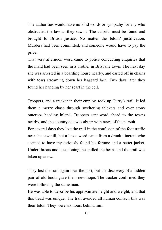The authorities would have no kind words or sympathy for any who obstructed the law as they saw it. The culprits must be found and brought to British justice. No matter the felons' justification. Murders had been committed, and someone would have to pay the price.

That very afternoon word came to police conducting enquiries that the maid had been seen in a brothel in Brisbane town. The next day she was arrested in a boarding house nearby, and carted off in chains with tears streaming down her haggard face. Two days later they found her hanging by her scarf in the cell.

Troopers, and a tracker in their employ, took up Curry's trail. It led them a merry chase through sweltering thickets and over stony outcrops heading inland. Troopers sent word ahead to the towns nearby, and the countryside was abuzz with news of the pursuit.

For several days they lost the trail in the confusion of the foot traffic near the sawmill, but a loose word came from a drunk itinerant who seemed to have mysteriously found his fortune and a better jacket. Under threats and questioning, he spilled the beans and the trail was taken up anew.

They lost the trail again near the port, but the discovery of a hidden pair of old boots gave them new hope. The tracker confirmed they were following the same man.

He was able to describe his approximate height and weight, and that this tread was unique. The trail avoided all human contact; this was their felon. They were six hours behind him.